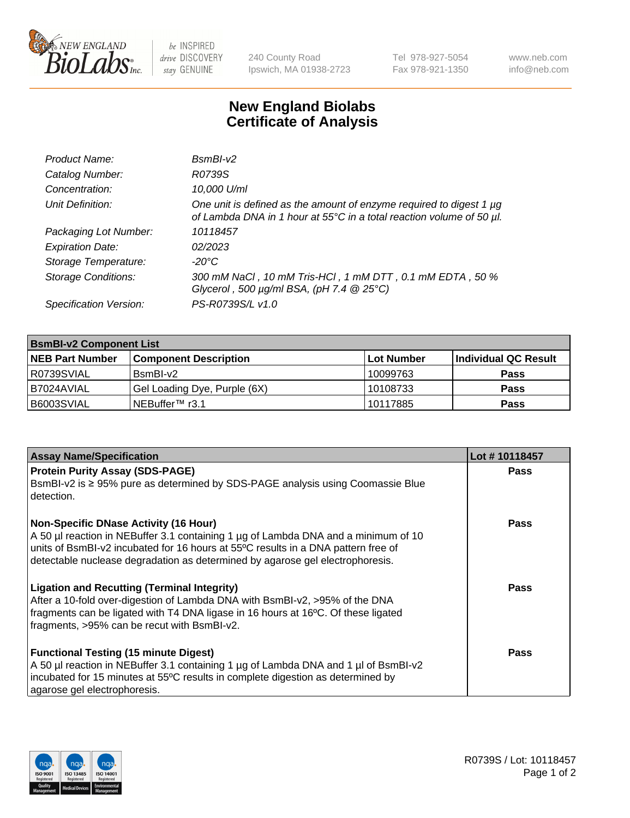

 $be$  INSPIRED drive DISCOVERY stay GENUINE

240 County Road Ipswich, MA 01938-2723 Tel 978-927-5054 Fax 978-921-1350 www.neb.com info@neb.com

## **New England Biolabs Certificate of Analysis**

| Product Name:              | $BsmBI-v2$                                                                                                                                  |
|----------------------------|---------------------------------------------------------------------------------------------------------------------------------------------|
| Catalog Number:            | R0739S                                                                                                                                      |
| Concentration:             | 10,000 U/ml                                                                                                                                 |
| Unit Definition:           | One unit is defined as the amount of enzyme required to digest 1 µg<br>of Lambda DNA in 1 hour at 55°C in a total reaction volume of 50 µl. |
| Packaging Lot Number:      | 10118457                                                                                                                                    |
| <b>Expiration Date:</b>    | 02/2023                                                                                                                                     |
| Storage Temperature:       | $-20^{\circ}$ C                                                                                                                             |
| <b>Storage Conditions:</b> | 300 mM NaCl, 10 mM Tris-HCl, 1 mM DTT, 0.1 mM EDTA, 50 %<br>Glycerol, 500 $\mu$ g/ml BSA, (pH 7.4 $@25°C$ )                                 |
| Specification Version:     | PS-R0739S/L v1.0                                                                                                                            |

| <b>BsmBI-v2 Component List</b> |                              |                   |                      |  |  |
|--------------------------------|------------------------------|-------------------|----------------------|--|--|
| <b>NEB Part Number</b>         | <b>Component Description</b> | <b>Lot Number</b> | Individual QC Result |  |  |
| R0739SVIAL                     | BsmBI-v2                     | 10099763          | <b>Pass</b>          |  |  |
| B7024AVIAL                     | Gel Loading Dye, Purple (6X) | 10108733          | <b>Pass</b>          |  |  |
| B6003SVIAL                     | INEBuffer™ r3.1              | 10117885          | <b>Pass</b>          |  |  |

| <b>Assay Name/Specification</b>                                                                                                                                                                                                                                                                          | Lot #10118457 |
|----------------------------------------------------------------------------------------------------------------------------------------------------------------------------------------------------------------------------------------------------------------------------------------------------------|---------------|
| <b>Protein Purity Assay (SDS-PAGE)</b><br>BsmBI-v2 is ≥ 95% pure as determined by SDS-PAGE analysis using Coomassie Blue<br>detection.                                                                                                                                                                   | <b>Pass</b>   |
| <b>Non-Specific DNase Activity (16 Hour)</b><br>A 50 µl reaction in NEBuffer 3.1 containing 1 µg of Lambda DNA and a minimum of 10<br>units of BsmBI-v2 incubated for 16 hours at 55°C results in a DNA pattern free of<br>detectable nuclease degradation as determined by agarose gel electrophoresis. | Pass          |
| <b>Ligation and Recutting (Terminal Integrity)</b><br>After a 10-fold over-digestion of Lambda DNA with BsmBI-v2, >95% of the DNA<br>fragments can be ligated with T4 DNA ligase in 16 hours at 16°C. Of these ligated<br>fragments, >95% can be recut with BsmBI-v2.                                    | Pass          |
| <b>Functional Testing (15 minute Digest)</b><br>A 50 µl reaction in NEBuffer 3.1 containing 1 µg of Lambda DNA and 1 µl of BsmBI-v2<br>incubated for 15 minutes at 55°C results in complete digestion as determined by<br>agarose gel electrophoresis.                                                   | Pass          |